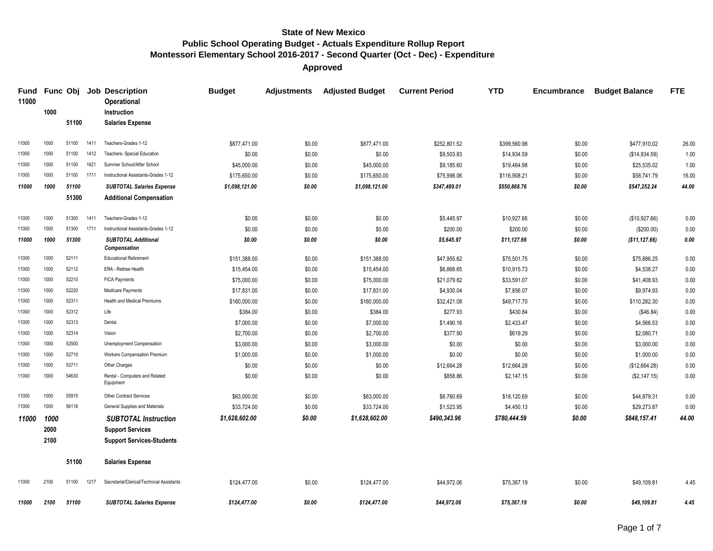**Approved**

| <b>Fund</b><br>11000 |      | Func Obj |      | <b>Job Description</b><br><b>Operational</b> | <b>Budget</b>  | <b>Adjustments</b> | <b>Adjusted Budget</b> | <b>Current Period</b> | <b>YTD</b>   | <b>Encumbrance</b> | <b>Budget Balance</b> | <b>FTE</b> |
|----------------------|------|----------|------|----------------------------------------------|----------------|--------------------|------------------------|-----------------------|--------------|--------------------|-----------------------|------------|
|                      | 1000 |          |      | Instruction                                  |                |                    |                        |                       |              |                    |                       |            |
|                      |      | 51100    |      | <b>Salaries Expense</b>                      |                |                    |                        |                       |              |                    |                       |            |
| 11000                | 1000 | 51100    | 1411 | Teachers-Grades 1-12                         | \$877,471.00   | \$0.00             | \$877,471.00           | \$252,801.52          | \$399,560.98 | \$0.00             | \$477,910.02          | 26.00      |
| 11000                | 1000 | 51100    | 1412 | <b>Teachers- Special Education</b>           | \$0.00         | \$0.00             | \$0.00                 | \$9,503.83            | \$14,934.59  | \$0.00             | (\$14,934.59)         | 1.00       |
| 11000                | 1000 | 51100    | 1621 | Summer School/After School                   | \$45,000.00    | \$0.00             | \$45,000.00            | \$9,185.60            | \$19,464.98  | \$0.00             | \$25,535.02           | 1.00       |
| 11000                | 1000 | 51100    | 1711 | Instructional Assistants-Grades 1-12         | \$175,650.00   | \$0.00             | \$175,650.00           | \$75,998.06           | \$116,908.21 | \$0.00             | \$58,741.79           | 16.00      |
| 11000                | 1000 | 51100    |      | <b>SUBTOTAL Salaries Expense</b>             | \$1,098,121.00 | \$0.00             | \$1,098,121.00         | \$347,489.01          | \$550,868.76 | \$0.00             | \$547,252.24          | 44.00      |
|                      |      | 51300    |      | <b>Additional Compensation</b>               |                |                    |                        |                       |              |                    |                       |            |
| 11000                | 1000 | 51300    | 1411 | Teachers-Grades 1-12                         | \$0.00         | \$0.00             | \$0.00                 | \$5,445.97            | \$10,927.66  | \$0.00             | (\$10,927.66)         | 0.00       |
| 11000                | 1000 | 51300    | 1711 | Instructional Assistants-Grades 1-12         | \$0.00         | \$0.00             | \$0.00                 | \$200.00              | \$200.00     | \$0.00             | (\$200.00)            | 0.00       |
| 11000                | 1000 | 51300    |      | <b>SUBTOTAL Additional</b><br>Compensation   | \$0.00         | \$0.00             | \$0.00                 | \$5,645.97            | \$11,127.66  | \$0.00             | (\$11, 127.66)        | 0.00       |
| 11000                | 1000 | 52111    |      | <b>Educational Retirement</b>                | \$151,388.00   | \$0.00             | \$151,388.00           | \$47,955.62           | \$75,501.75  | \$0.00             | \$75,886.25           | 0.00       |
| 11000                | 1000 | 52112    |      | ERA - Retiree Health                         | \$15,454.00    | \$0.00             | \$15,454.00            | \$6,868.65            | \$10,915.73  | \$0.00             | \$4,538.27            | 0.00       |
| 11000                | 1000 | 52210    |      | <b>FICA Payments</b>                         | \$75,000.00    | \$0.00             | \$75,000.00            | \$21,079.82           | \$33,591.07  | \$0.00             | \$41,408.93           | 0.00       |
| 11000                | 1000 | 52220    |      | Medicare Payments                            | \$17,831.00    | \$0.00             | \$17,831.00            | \$4,930.04            | \$7,856.07   | \$0.00             | \$9,974.93            | 0.00       |
| 11000                | 1000 | 52311    |      | Health and Medical Premiums                  | \$160,000.00   | \$0.00             | \$160,000.00           | \$32,421.08           | \$49,717.70  | \$0.00             | \$110,282.30          | 0.00       |
| 11000                | 1000 | 52312    |      | Life                                         | \$384.00       | \$0.00             | \$384.00               | \$277.93              | \$430.84     | \$0.00             | (\$46.84)             | 0.00       |
| 11000                | 1000 | 52313    |      | Dental                                       | \$7,000.00     | \$0.00             | \$7,000.00             | \$1,490.16            | \$2,433.47   | \$0.00             | \$4,566.53            | 0.00       |
| 11000                | 1000 | 52314    |      | Vision                                       | \$2,700.00     | \$0.00             | \$2,700.00             | \$377.90              | \$619.29     | \$0.00             | \$2,080.71            | 0.00       |
| 11000                | 1000 | 52500    |      | Unemployment Compensation                    | \$3,000.00     | \$0.00             | \$3,000.00             | \$0.00                | \$0.00       | \$0.00             | \$3,000.00            | 0.00       |
| 11000                | 1000 | 52710    |      | Workers Compensation Premium                 | \$1,000.00     | \$0.00             | \$1,000.00             | \$0.00                | \$0.00       | \$0.00             | \$1,000.00            | 0.00       |
| 11000                | 1000 | 53711    |      | Other Charges                                | \$0.00         | \$0.00             | \$0.00                 | \$12,664.28           | \$12,664.28  | \$0.00             | (\$12,664.28)         | 0.00       |
| 11000                | 1000 | 54630    |      | Rental - Computers and Related<br>Equipment  | \$0.00         | \$0.00             | \$0.00                 | \$858.86              | \$2,147.15   | \$0.00             | (\$2,147.15)          | 0.00       |
| 11000                | 1000 | 55915    |      | Other Contract Services                      | \$63,000.00    | \$0.00             | \$63,000.00            | \$6,760.69            | \$18,120.69  | \$0.00             | \$44,879.31           | 0.00       |
| 11000                | 1000 | 56118    |      | General Supplies and Materials               | \$33,724.00    | \$0.00             | \$33,724.00            | \$1,523.95            | \$4,450.13   | \$0.00             | \$29,273.87           | 0.00       |
| 11000                | 1000 |          |      | <b>SUBTOTAL Instruction</b>                  | \$1,628,602.00 | \$0.00             | \$1,628,602.00         | \$490,343.96          | \$780,444.59 | \$0.00             | \$848,157.41          | 44.00      |
|                      | 2000 |          |      | <b>Support Services</b>                      |                |                    |                        |                       |              |                    |                       |            |
|                      | 2100 |          |      | <b>Support Services-Students</b>             |                |                    |                        |                       |              |                    |                       |            |
|                      |      | 51100    |      | <b>Salaries Expense</b>                      |                |                    |                        |                       |              |                    |                       |            |
| 11000                | 2100 | 51100    | 1217 | Secretarial/Clerical/Technical Assistants    | \$124,477.00   | \$0.00             | \$124,477.00           | \$44,972.06           | \$75,367.19  | \$0.00             | \$49,109.81           | 4.45       |
| 11000                | 2100 | 51100    |      | <b>SUBTOTAL Salaries Expense</b>             | \$124,477.00   | \$0.00             | \$124,477.00           | \$44,972.06           | \$75,367.19  | \$0.00             | \$49,109.81           | 4.45       |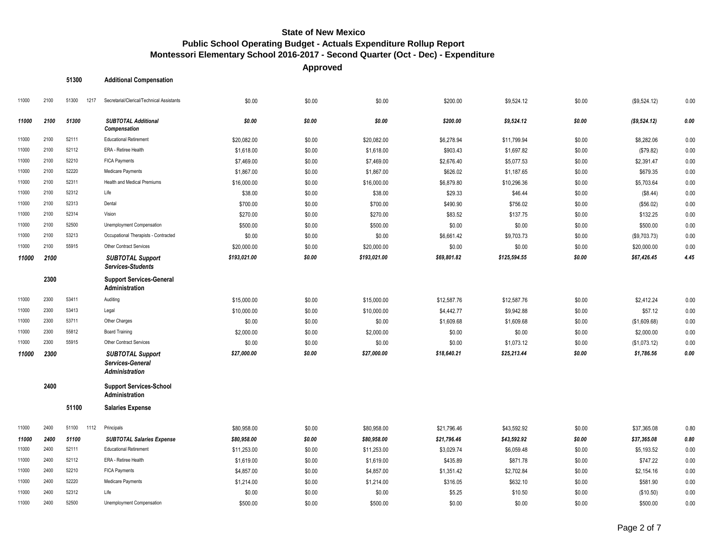**Approved**

| <b>Additional Compensation</b><br>51300 |
|-----------------------------------------|
|-----------------------------------------|

| 11000 | 2100 | 51300<br>1217 | Secretarial/Clerical/Technical Assistants                            | \$0.00       | \$0.00 | \$0.00       | \$200.00    | \$9,524.12   | \$0.00 | (\$9,524.12) | 0.00 |
|-------|------|---------------|----------------------------------------------------------------------|--------------|--------|--------------|-------------|--------------|--------|--------------|------|
| 11000 | 2100 | 51300         | <b>SUBTOTAL Additional</b><br>Compensation                           | \$0.00       | \$0.00 | \$0.00       | \$200.00    | \$9,524.12   | \$0.00 | (\$9,524.12) | 0.00 |
| 11000 | 2100 | 52111         | <b>Educational Retirement</b>                                        | \$20,082.00  | \$0.00 | \$20,082.00  | \$6,278.94  | \$11,799.94  | \$0.00 | \$8,282.06   | 0.00 |
| 11000 | 2100 | 52112         | ERA - Retiree Health                                                 | \$1,618.00   | \$0.00 | \$1,618.00   | \$903.43    | \$1,697.82   | \$0.00 | (\$79.82)    | 0.00 |
| 11000 | 2100 | 52210         | <b>FICA Payments</b>                                                 | \$7,469.00   | \$0.00 | \$7,469.00   | \$2,676.40  | \$5,077.53   | \$0.00 | \$2,391.47   | 0.00 |
| 11000 | 2100 | 52220         | Medicare Payments                                                    | \$1,867.00   | \$0.00 | \$1,867.00   | \$626.02    | \$1,187.65   | \$0.00 | \$679.35     | 0.00 |
| 11000 | 2100 | 52311         | <b>Health and Medical Premiums</b>                                   | \$16,000.00  | \$0.00 | \$16,000.00  | \$6,879.80  | \$10,296.36  | \$0.00 | \$5,703.64   | 0.00 |
| 11000 | 2100 | 52312         | Life                                                                 | \$38.00      | \$0.00 | \$38.00      | \$29.33     | \$46.44      | \$0.00 | (\$8.44)     | 0.00 |
| 11000 | 2100 | 52313         | Dental                                                               | \$700.00     | \$0.00 | \$700.00     | \$490.90    | \$756.02     | \$0.00 | (\$56.02)    | 0.00 |
| 11000 | 2100 | 52314         | Vision                                                               | \$270.00     | \$0.00 | \$270.00     | \$83.52     | \$137.75     | \$0.00 | \$132.25     | 0.00 |
| 11000 | 2100 | 52500         | Unemployment Compensation                                            | \$500.00     | \$0.00 | \$500.00     | \$0.00      | \$0.00       | \$0.00 | \$500.00     | 0.00 |
| 11000 | 2100 | 53213         | Occupational Therapists - Contracted                                 | \$0.00       | \$0.00 | \$0.00       | \$6,661.42  | \$9,703.73   | \$0.00 | (\$9,703.73) | 0.00 |
| 11000 | 2100 | 55915         | <b>Other Contract Services</b>                                       | \$20,000.00  | \$0.00 | \$20,000.00  | \$0.00      | \$0.00       | \$0.00 | \$20,000.00  | 0.00 |
| 11000 | 2100 |               | <b>SUBTOTAL Support</b><br>Services-Students                         | \$193,021.00 | \$0.00 | \$193,021.00 | \$69,801.82 | \$125,594.55 | \$0.00 | \$67,426.45  | 4.45 |
|       | 2300 |               | <b>Support Services-General</b><br>Administration                    |              |        |              |             |              |        |              |      |
| 11000 | 2300 | 53411         | Auditing                                                             | \$15,000.00  | \$0.00 | \$15,000.00  | \$12,587.76 | \$12,587.76  | \$0.00 | \$2,412.24   | 0.00 |
| 11000 | 2300 | 53413         | Legal                                                                | \$10,000.00  | \$0.00 | \$10,000.00  | \$4,442.77  | \$9,942.88   | \$0.00 | \$57.12      | 0.00 |
| 11000 | 2300 | 53711         | Other Charges                                                        | \$0.00       | \$0.00 | \$0.00       | \$1,609.68  | \$1,609.68   | \$0.00 | (\$1,609.68) | 0.00 |
| 11000 | 2300 | 55812         | <b>Board Training</b>                                                | \$2,000.00   | \$0.00 | \$2,000.00   | \$0.00      | \$0.00       | \$0.00 | \$2,000.00   | 0.00 |
| 11000 | 2300 | 55915         | Other Contract Services                                              | \$0.00       | \$0.00 | \$0.00       | \$0.00      | \$1,073.12   | \$0.00 | (\$1,073.12) | 0.00 |
| 11000 | 2300 |               | <b>SUBTOTAL Support</b><br>Services-General<br><b>Administration</b> | \$27,000.00  | \$0.00 | \$27,000.00  | \$18,640.21 | \$25,213.44  | \$0.00 | \$1,786.56   | 0.00 |
|       | 2400 |               | <b>Support Services-School</b><br>Administration                     |              |        |              |             |              |        |              |      |
|       |      | 51100         | <b>Salaries Expense</b>                                              |              |        |              |             |              |        |              |      |
| 11000 | 2400 | 51100<br>1112 | Principals                                                           | \$80,958.00  | \$0.00 | \$80,958.00  | \$21,796.46 | \$43,592.92  | \$0.00 | \$37,365.08  | 0.80 |
| 11000 | 2400 | 51100         | <b>SUBTOTAL Salaries Expense</b>                                     | \$80,958.00  | \$0.00 | \$80,958.00  | \$21,796.46 | \$43,592.92  | \$0.00 | \$37,365.08  | 0.80 |
| 11000 | 2400 | 52111         | <b>Educational Retirement</b>                                        | \$11,253.00  | \$0.00 | \$11,253.00  | \$3,029.74  | \$6,059.48   | \$0.00 | \$5,193.52   | 0.00 |
| 11000 | 2400 | 52112         | ERA - Retiree Health                                                 | \$1,619.00   | \$0.00 | \$1,619.00   | \$435.89    | \$871.78     | \$0.00 | \$747.22     | 0.00 |
| 11000 | 2400 | 52210         | <b>FICA Payments</b>                                                 | \$4,857.00   | \$0.00 | \$4,857.00   | \$1,351.42  | \$2,702.84   | \$0.00 | \$2,154.16   | 0.00 |
| 11000 | 2400 | 52220         | Medicare Payments                                                    | \$1,214.00   | \$0.00 | \$1,214.00   | \$316.05    | \$632.10     | \$0.00 | \$581.90     | 0.00 |
| 11000 | 2400 | 52312         | Life                                                                 | \$0.00       | \$0.00 | \$0.00       | \$5.25      | \$10.50      | \$0.00 | (\$10.50)    | 0.00 |
| 11000 | 2400 | 52500         | Unemployment Compensation                                            | \$500.00     | \$0.00 | \$500.00     | \$0.00      | \$0.00       | \$0.00 | \$500.00     | 0.00 |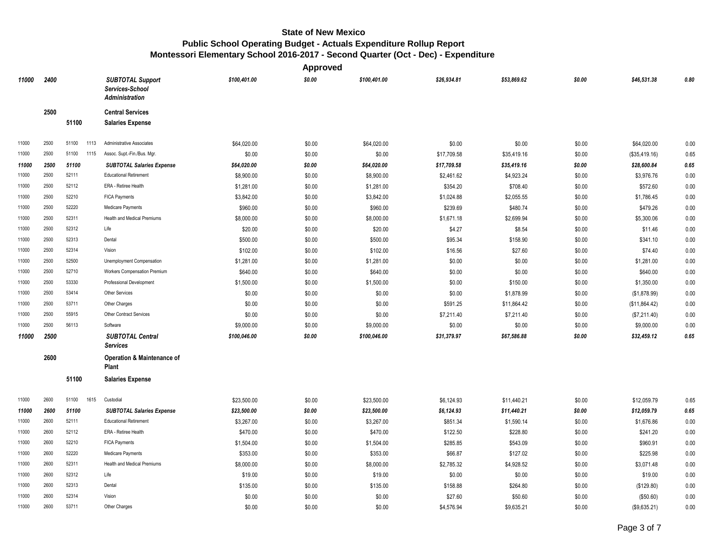|       |      |               |                                                                     |              | <b>Approved</b> |              |             |             |        |               |      |
|-------|------|---------------|---------------------------------------------------------------------|--------------|-----------------|--------------|-------------|-------------|--------|---------------|------|
| 11000 | 2400 |               | <b>SUBTOTAL Support</b><br>Services-School<br><b>Administration</b> | \$100,401.00 | \$0.00          | \$100,401.00 | \$26,934.81 | \$53,869.62 | \$0.00 | \$46,531.38   | 0.80 |
|       | 2500 |               | <b>Central Services</b>                                             |              |                 |              |             |             |        |               |      |
|       |      | 51100         | <b>Salaries Expense</b>                                             |              |                 |              |             |             |        |               |      |
| 11000 | 2500 | 51100<br>1113 | Administrative Associates                                           | \$64,020.00  | \$0.00          | \$64,020.00  | \$0.00      | \$0.00      | \$0.00 | \$64,020.00   | 0.00 |
| 11000 | 2500 | 51100<br>1115 | Assoc. Supt.-Fin./Bus. Mgr.                                         | \$0.00       | \$0.00          | \$0.00       | \$17,709.58 | \$35,419.16 | \$0.00 | (\$35,419.16) | 0.65 |
| 11000 | 2500 | 51100         | <b>SUBTOTAL Salaries Expense</b>                                    | \$64,020.00  | \$0.00          | \$64,020.00  | \$17,709.58 | \$35,419.16 | \$0.00 | \$28,600.84   | 0.65 |
| 11000 | 2500 | 52111         | <b>Educational Retirement</b>                                       | \$8,900.00   | \$0.00          | \$8,900.00   | \$2,461.62  | \$4,923.24  | \$0.00 | \$3,976.76    | 0.00 |
| 11000 | 2500 | 52112         | ERA - Retiree Health                                                | \$1,281.00   | \$0.00          | \$1,281.00   | \$354.20    | \$708.40    | \$0.00 | \$572.60      | 0.00 |
| 11000 | 2500 | 52210         | FICA Payments                                                       | \$3,842.00   | \$0.00          | \$3,842.00   | \$1,024.88  | \$2,055.55  | \$0.00 | \$1,786.45    | 0.00 |
| 11000 | 2500 | 52220         | Medicare Payments                                                   | \$960.00     | \$0.00          | \$960.00     | \$239.69    | \$480.74    | \$0.00 | \$479.26      | 0.00 |
| 11000 | 2500 | 52311         | <b>Health and Medical Premiums</b>                                  | \$8,000.00   | \$0.00          | \$8,000.00   | \$1,671.18  | \$2,699.94  | \$0.00 | \$5,300.06    | 0.00 |
| 11000 | 2500 | 52312         | Life                                                                | \$20.00      | \$0.00          | \$20.00      | \$4.27      | \$8.54      | \$0.00 | \$11.46       | 0.00 |
| 11000 | 2500 | 52313         | Dental                                                              | \$500.00     | \$0.00          | \$500.00     | \$95.34     | \$158.90    | \$0.00 | \$341.10      | 0.00 |
| 11000 | 2500 | 52314         | Vision                                                              | \$102.00     | \$0.00          | \$102.00     | \$16.56     | \$27.60     | \$0.00 | \$74.40       | 0.00 |
| 11000 | 2500 | 52500         | Unemployment Compensation                                           | \$1,281.00   | \$0.00          | \$1,281.00   | \$0.00      | \$0.00      | \$0.00 | \$1,281.00    | 0.00 |
| 11000 | 2500 | 52710         | Workers Compensation Premium                                        | \$640.00     | \$0.00          | \$640.00     | \$0.00      | \$0.00      | \$0.00 | \$640.00      | 0.00 |
| 11000 | 2500 | 53330         | Professional Development                                            | \$1,500.00   | \$0.00          | \$1,500.00   | \$0.00      | \$150.00    | \$0.00 | \$1,350.00    | 0.00 |
| 11000 | 2500 | 53414         | Other Services                                                      | \$0.00       | \$0.00          | \$0.00       | \$0.00      | \$1,878.99  | \$0.00 | (\$1,878.99)  | 0.00 |
| 11000 | 2500 | 53711         | Other Charges                                                       | \$0.00       | \$0.00          | \$0.00       | \$591.25    | \$11,864.42 | \$0.00 | (\$11,864.42) | 0.00 |
| 11000 | 2500 | 55915         | <b>Other Contract Services</b>                                      | \$0.00       | \$0.00          | \$0.00       | \$7,211.40  | \$7,211.40  | \$0.00 | (\$7,211.40)  | 0.00 |
| 11000 | 2500 | 56113         | Software                                                            | \$9,000.00   | \$0.00          | \$9,000.00   | \$0.00      | \$0.00      | \$0.00 | \$9,000.00    | 0.00 |
| 11000 | 2500 |               | <b>SUBTOTAL Central</b><br><b>Services</b>                          | \$100,046.00 | \$0.00          | \$100,046.00 | \$31,379.97 | \$67,586.88 | \$0.00 | \$32,459.12   | 0.65 |
|       | 2600 |               | Operation & Maintenance of<br>Plant                                 |              |                 |              |             |             |        |               |      |
|       |      | 51100         | <b>Salaries Expense</b>                                             |              |                 |              |             |             |        |               |      |
| 11000 | 2600 | 51100<br>1615 | Custodial                                                           | \$23,500.00  | \$0.00          | \$23,500.00  | \$6,124.93  | \$11,440.21 | \$0.00 | \$12,059.79   | 0.65 |
| 11000 | 2600 | 51100         | <b>SUBTOTAL Salaries Expense</b>                                    | \$23,500.00  | \$0.00          | \$23,500.00  | \$6,124.93  | \$11,440.21 | \$0.00 | \$12,059.79   | 0.65 |
| 11000 | 2600 | 52111         | <b>Educational Retirement</b>                                       | \$3,267.00   | \$0.00          | \$3,267.00   | \$851.34    | \$1,590.14  | \$0.00 | \$1,676.86    | 0.00 |
| 11000 | 2600 | 52112         | ERA - Retiree Health                                                | \$470.00     | \$0.00          | \$470.00     | \$122.50    | \$228.80    | \$0.00 | \$241.20      | 0.00 |
| 11000 | 2600 | 52210         | FICA Payments                                                       | \$1,504.00   | \$0.00          | \$1,504.00   | \$285.85    | \$543.09    | \$0.00 | \$960.91      | 0.00 |
| 11000 | 2600 | 52220         | Medicare Payments                                                   | \$353.00     | \$0.00          | \$353.00     | \$66.87     | \$127.02    | \$0.00 | \$225.98      | 0.00 |
| 11000 | 2600 | 52311         | <b>Health and Medical Premiums</b>                                  | \$8,000.00   | \$0.00          | \$8,000.00   | \$2,785.32  | \$4,928.52  | \$0.00 | \$3,071.48    | 0.00 |
| 11000 | 2600 | 52312         | Life                                                                | \$19.00      | \$0.00          | \$19.00      | \$0.00      | \$0.00      | \$0.00 | \$19.00       | 0.00 |
| 11000 | 2600 | 52313         | Dental                                                              | \$135.00     | \$0.00          | \$135.00     | \$158.88    | \$264.80    | \$0.00 | (\$129.80)    | 0.00 |
| 11000 | 2600 | 52314         | Vision                                                              | \$0.00       | \$0.00          | \$0.00       | \$27.60     | \$50.60     | \$0.00 | (\$50.60)     | 0.00 |
| 11000 | 2600 | 53711         | Other Charges                                                       | \$0.00       | \$0.00          | \$0.00       | \$4,576.94  | \$9,635.21  | \$0.00 | (\$9,635.21)  | 0.00 |
|       |      |               |                                                                     |              |                 |              |             |             |        |               |      |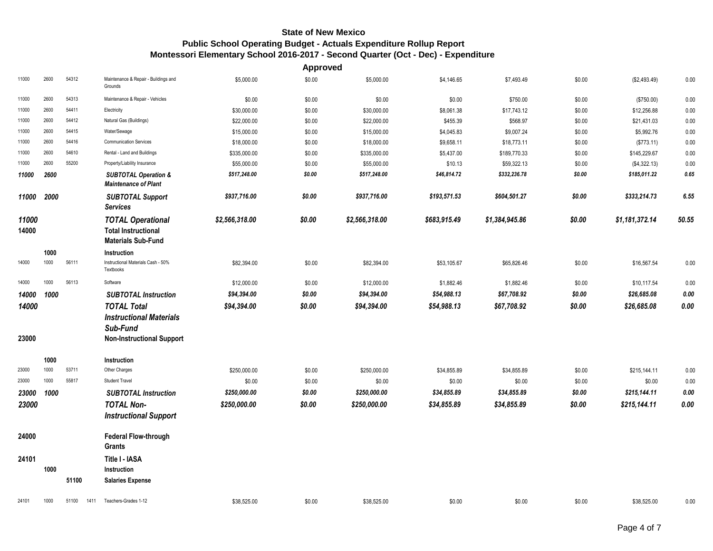|                |      |               |                                                                                     |                | <b>Approved</b> |                |              |                |        |                |       |
|----------------|------|---------------|-------------------------------------------------------------------------------------|----------------|-----------------|----------------|--------------|----------------|--------|----------------|-------|
| 11000          | 2600 | 54312         | Maintenance & Repair - Buildings and<br>Grounds                                     | \$5,000.00     | \$0.00          | \$5,000.00     | \$4,146.65   | \$7,493.49     | \$0.00 | (\$2,493.49)   | 0.00  |
| 11000          | 2600 | 54313         | Maintenance & Repair - Vehicles                                                     | \$0.00         | \$0.00          | \$0.00         | \$0.00       | \$750.00       | \$0.00 | (\$750.00)     | 0.00  |
| 11000          | 2600 | 54411         | Electricity                                                                         | \$30,000.00    | \$0.00          | \$30,000.00    | \$8,061.38   | \$17,743.12    | \$0.00 | \$12,256.88    | 0.00  |
| 11000          | 2600 | 54412         | Natural Gas (Buildings)                                                             | \$22,000.00    | \$0.00          | \$22,000.00    | \$455.39     | \$568.97       | \$0.00 | \$21,431.03    | 0.00  |
| 11000          | 2600 | 54415         | Water/Sewage                                                                        | \$15,000.00    | \$0.00          | \$15,000.00    | \$4,045.83   | \$9,007.24     | \$0.00 | \$5,992.76     | 0.00  |
| 11000          | 2600 | 54416         | <b>Communication Services</b>                                                       | \$18,000.00    | \$0.00          | \$18,000.00    | \$9,658.11   | \$18,773.11    | \$0.00 | (\$773.11)     | 0.00  |
| 11000          | 2600 | 54610         | Rental - Land and Buildings                                                         | \$335,000.00   | \$0.00          | \$335,000.00   | \$5,437.00   | \$189,770.33   | \$0.00 | \$145,229.67   | 0.00  |
| 11000          | 2600 | 55200         | Property/Liability Insurance                                                        | \$55,000.00    | \$0.00          | \$55,000.00    | \$10.13      | \$59,322.13    | \$0.00 | (\$4,322.13)   | 0.00  |
| 11000          | 2600 |               | <b>SUBTOTAL Operation &amp;</b><br><b>Maintenance of Plant</b>                      | \$517,248.00   | \$0.00          | \$517,248.00   | \$46,814.72  | \$332,236.78   | \$0.00 | \$185,011.22   | 0.65  |
| 11000          | 2000 |               | <b>SUBTOTAL Support</b><br><b>Services</b>                                          | \$937,716.00   | \$0.00          | \$937,716.00   | \$193,571.53 | \$604,501.27   | \$0.00 | \$333,214.73   | 6.55  |
| 11000<br>14000 |      |               | <b>TOTAL Operational</b><br><b>Total Instructional</b><br><b>Materials Sub-Fund</b> | \$2,566,318.00 | \$0.00          | \$2,566,318.00 | \$683,915.49 | \$1,384,945.86 | \$0.00 | \$1,181,372.14 | 50.55 |
|                | 1000 |               | Instruction                                                                         |                |                 |                |              |                |        |                |       |
| 14000          | 1000 | 56111         | Instructional Materials Cash - 50%<br>Textbooks                                     | \$82,394.00    | \$0.00          | \$82,394.00    | \$53,105.67  | \$65,826.46    | \$0.00 | \$16,567.54    | 0.00  |
| 14000          | 1000 | 56113         | Software                                                                            | \$12,000.00    | \$0.00          | \$12,000.00    | \$1,882.46   | \$1,882.46     | \$0.00 | \$10,117.54    | 0.00  |
| 14000          | 1000 |               | <b>SUBTOTAL Instruction</b>                                                         | \$94,394.00    | \$0.00          | \$94,394.00    | \$54,988.13  | \$67,708.92    | \$0.00 | \$26,685.08    | 0.00  |
| 14000          |      |               | <b>TOTAL Total</b>                                                                  | \$94,394.00    | \$0.00          | \$94,394.00    | \$54,988.13  | \$67,708.92    | \$0.00 | \$26,685.08    | 0.00  |
|                |      |               | <b>Instructional Materials</b>                                                      |                |                 |                |              |                |        |                |       |
| 23000          |      |               | Sub-Fund<br><b>Non-Instructional Support</b>                                        |                |                 |                |              |                |        |                |       |
|                | 1000 |               | Instruction                                                                         |                |                 |                |              |                |        |                |       |
| 23000          | 1000 | 53711         | Other Charges                                                                       | \$250,000.00   | \$0.00          | \$250,000.00   | \$34,855.89  | \$34,855.89    | \$0.00 | \$215,144.11   | 0.00  |
| 23000          | 1000 | 55817         | Student Travel                                                                      | \$0.00         | \$0.00          | \$0.00         | \$0.00       | \$0.00         | \$0.00 | \$0.00         | 0.00  |
| 23000          | 1000 |               | <b>SUBTOTAL Instruction</b>                                                         | \$250,000.00   | \$0.00          | \$250,000.00   | \$34,855.89  | \$34,855.89    | \$0.00 | \$215,144.11   | 0.00  |
| 23000          |      |               | <b>TOTAL Non-</b><br><b>Instructional Support</b>                                   | \$250,000.00   | \$0.00          | \$250,000.00   | \$34,855.89  | \$34,855.89    | \$0.00 | \$215,144.11   | 0.00  |
| 24000          |      |               | <b>Federal Flow-through</b><br>Grants                                               |                |                 |                |              |                |        |                |       |
| 24101          |      |               | Title I - IASA                                                                      |                |                 |                |              |                |        |                |       |
|                | 1000 |               | Instruction                                                                         |                |                 |                |              |                |        |                |       |
|                |      | 51100         | <b>Salaries Expense</b>                                                             |                |                 |                |              |                |        |                |       |
| 24101          | 1000 | 51100<br>1411 | Teachers-Grades 1-12                                                                | \$38,525.00    | \$0.00          | \$38,525.00    | \$0.00       | \$0.00         | \$0.00 | \$38,525.00    | 0.00  |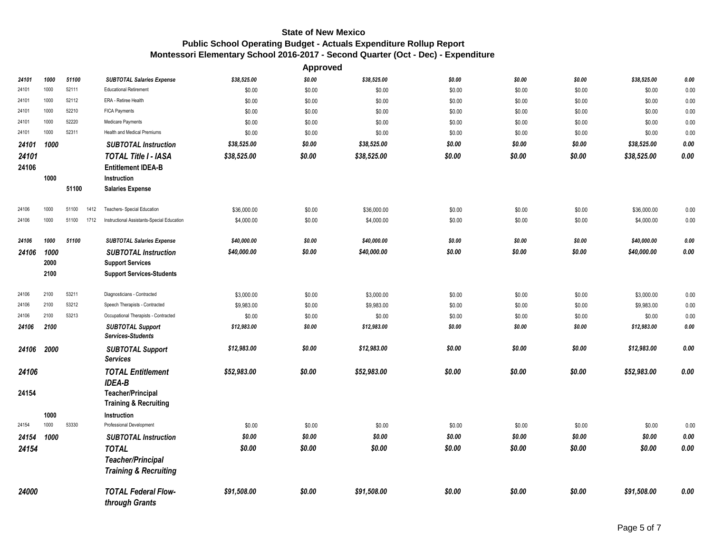|       |      |               |                                                     |             | Approved |             |        |        |        |             |      |
|-------|------|---------------|-----------------------------------------------------|-------------|----------|-------------|--------|--------|--------|-------------|------|
| 24101 | 1000 | 51100         | <b>SUBTOTAL Salaries Expense</b>                    | \$38,525.00 | \$0.00   | \$38,525.00 | \$0.00 | \$0.00 | \$0.00 | \$38,525.00 | 0.00 |
| 24101 | 1000 | 52111         | <b>Educational Retirement</b>                       | \$0.00      | \$0.00   | \$0.00      | \$0.00 | \$0.00 | \$0.00 | \$0.00      | 0.00 |
| 24101 | 1000 | 52112         | ERA - Retiree Health                                | \$0.00      | \$0.00   | \$0.00      | \$0.00 | \$0.00 | \$0.00 | \$0.00      | 0.00 |
| 24101 | 1000 | 52210         | FICA Payments                                       | \$0.00      | \$0.00   | \$0.00      | \$0.00 | \$0.00 | \$0.00 | \$0.00      | 0.00 |
| 24101 | 1000 | 52220         | Medicare Payments                                   | \$0.00      | \$0.00   | \$0.00      | \$0.00 | \$0.00 | \$0.00 | \$0.00      | 0.00 |
| 24101 | 1000 | 52311         | <b>Health and Medical Premiums</b>                  | \$0.00      | \$0.00   | \$0.00      | \$0.00 | \$0.00 | \$0.00 | \$0.00      | 0.00 |
| 24101 | 1000 |               | <b>SUBTOTAL Instruction</b>                         | \$38,525.00 | \$0.00   | \$38,525.00 | \$0.00 | \$0.00 | \$0.00 | \$38,525.00 | 0.00 |
| 24101 |      |               | <b>TOTAL Title I - IASA</b>                         | \$38,525.00 | \$0.00   | \$38,525.00 | \$0.00 | \$0.00 | \$0.00 | \$38,525.00 | 0.00 |
| 24106 |      |               | <b>Entitlement IDEA-B</b>                           |             |          |             |        |        |        |             |      |
|       | 1000 |               | Instruction                                         |             |          |             |        |        |        |             |      |
|       |      | 51100         | <b>Salaries Expense</b>                             |             |          |             |        |        |        |             |      |
| 24106 | 1000 | 51100<br>1412 | Teachers- Special Education                         | \$36,000.00 | \$0.00   | \$36,000.00 | \$0.00 | \$0.00 | \$0.00 | \$36,000.00 | 0.00 |
| 24106 | 1000 | 51100<br>1712 | Instructional Assistants-Special Education          | \$4,000.00  | \$0.00   | \$4,000.00  | \$0.00 | \$0.00 | \$0.00 | \$4,000.00  | 0.00 |
| 24106 | 1000 | 51100         | <b>SUBTOTAL Salaries Expense</b>                    | \$40,000.00 | \$0.00   | \$40,000.00 | \$0.00 | \$0.00 | \$0.00 | \$40,000.00 | 0.00 |
| 24106 | 1000 |               | <b>SUBTOTAL Instruction</b>                         | \$40,000.00 | \$0.00   | \$40,000.00 | \$0.00 | \$0.00 | \$0.00 | \$40,000.00 | 0.00 |
|       | 2000 |               | <b>Support Services</b>                             |             |          |             |        |        |        |             |      |
|       | 2100 |               | <b>Support Services-Students</b>                    |             |          |             |        |        |        |             |      |
| 24106 | 2100 | 53211         | Diagnosticians - Contracted                         | \$3,000.00  | \$0.00   | \$3,000.00  | \$0.00 | \$0.00 | \$0.00 | \$3,000.00  | 0.00 |
| 24106 | 2100 | 53212         | Speech Therapists - Contracted                      | \$9,983.00  | \$0.00   | \$9,983.00  | \$0.00 | \$0.00 | \$0.00 | \$9,983.00  | 0.00 |
| 24106 | 2100 | 53213         | Occupational Therapists - Contracted                | \$0.00      | \$0.00   | \$0.00      | \$0.00 | \$0.00 | \$0.00 | \$0.00      | 0.00 |
| 24106 | 2100 |               | <b>SUBTOTAL Support</b><br><b>Services-Students</b> | \$12,983.00 | \$0.00   | \$12,983.00 | \$0.00 | \$0.00 | \$0.00 | \$12,983.00 | 0.00 |
| 24106 | 2000 |               | <b>SUBTOTAL Support</b>                             | \$12,983.00 | \$0.00   | \$12,983.00 | \$0.00 | \$0.00 | \$0.00 | \$12,983.00 | 0.00 |
|       |      |               | <b>Services</b>                                     |             |          |             |        |        |        |             |      |
| 24106 |      |               | <b>TOTAL Entitlement</b><br><b>IDEA-B</b>           | \$52,983.00 | \$0.00   | \$52,983.00 | \$0.00 | \$0.00 | \$0.00 | \$52,983.00 | 0.00 |
| 24154 |      |               | <b>Teacher/Principal</b>                            |             |          |             |        |        |        |             |      |
|       |      |               | <b>Training &amp; Recruiting</b>                    |             |          |             |        |        |        |             |      |
|       | 1000 |               | Instruction                                         |             |          |             |        |        |        |             |      |
| 24154 | 1000 | 53330         | Professional Development                            | \$0.00      | \$0.00   | \$0.00      | \$0.00 | \$0.00 | \$0.00 | \$0.00      | 0.00 |
| 24154 | 1000 |               | <b>SUBTOTAL Instruction</b>                         | \$0.00      | \$0.00   | \$0.00      | \$0.00 | \$0.00 | \$0.00 | \$0.00      | 0.00 |
| 24154 |      |               | <b>TOTAL</b>                                        | \$0.00      | \$0.00   | \$0.00      | \$0.00 | \$0.00 | \$0.00 | \$0.00      | 0.00 |
|       |      |               | <b>Teacher/Principal</b>                            |             |          |             |        |        |        |             |      |
|       |      |               | <b>Training &amp; Recruiting</b>                    |             |          |             |        |        |        |             |      |
| 24000 |      |               | <b>TOTAL Federal Flow-</b>                          | \$91,508.00 | \$0.00   | \$91,508.00 | \$0.00 | \$0.00 | \$0.00 | \$91,508.00 | 0.00 |
|       |      |               | through Grants                                      |             |          |             |        |        |        |             |      |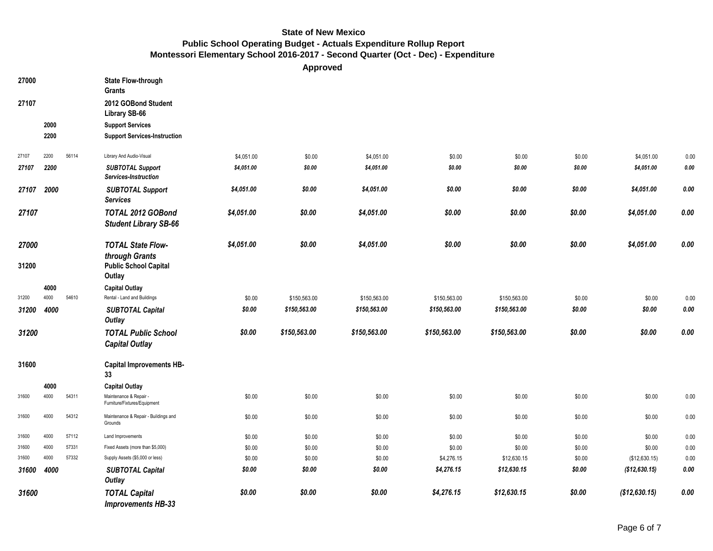**Approved**

| 27000 |      |       | <b>State Flow-through</b><br><b>Grants</b>             |            |              |              |              |              |        |               |             |
|-------|------|-------|--------------------------------------------------------|------------|--------------|--------------|--------------|--------------|--------|---------------|-------------|
| 27107 |      |       | 2012 GOBond Student<br>Library SB-66                   |            |              |              |              |              |        |               |             |
|       | 2000 |       | <b>Support Services</b>                                |            |              |              |              |              |        |               |             |
|       | 2200 |       | <b>Support Services-Instruction</b>                    |            |              |              |              |              |        |               |             |
| 27107 | 2200 | 56114 | Library And Audio-Visual                               | \$4,051.00 | \$0.00       | \$4,051.00   | \$0.00       | \$0.00       | \$0.00 | \$4,051.00    | 0.00        |
| 27107 | 2200 |       | <b>SUBTOTAL Support</b><br>Services-Instruction        | \$4,051.00 | \$0.00       | \$4,051.00   | \$0.00       | \$0.00       | \$0.00 | \$4,051.00    | 0.00        |
| 27107 | 2000 |       | <b>SUBTOTAL Support</b><br><b>Services</b>             | \$4,051.00 | \$0.00       | \$4,051.00   | \$0.00       | \$0.00       | \$0.00 | \$4,051.00    | 0.00        |
| 27107 |      |       | TOTAL 2012 GOBond<br><b>Student Library SB-66</b>      | \$4,051.00 | \$0.00       | \$4,051.00   | \$0.00       | \$0.00       | \$0.00 | \$4,051.00    | $0.00\,$    |
| 27000 |      |       | <b>TOTAL State Flow-</b><br>through Grants             | \$4,051.00 | \$0.00       | \$4,051.00   | \$0.00       | \$0.00       | \$0.00 | \$4,051.00    | 0.00        |
| 31200 |      |       | <b>Public School Capital</b><br>Outlay                 |            |              |              |              |              |        |               |             |
|       | 4000 |       | <b>Capital Outlay</b>                                  |            |              |              |              |              |        |               |             |
| 31200 | 4000 | 54610 | Rental - Land and Buildings                            | \$0.00     | \$150,563.00 | \$150,563.00 | \$150,563.00 | \$150,563.00 | \$0.00 | \$0.00        | 0.00        |
| 31200 | 4000 |       | <b>SUBTOTAL Capital</b><br>Outlay                      | \$0.00     | \$150,563.00 | \$150,563.00 | \$150,563.00 | \$150,563.00 | \$0.00 | \$0.00        | 0.00        |
| 31200 |      |       | <b>TOTAL Public School</b><br><b>Capital Outlay</b>    | \$0.00     | \$150,563.00 | \$150,563.00 | \$150,563.00 | \$150,563.00 | \$0.00 | \$0.00        | $\it{0.00}$ |
| 31600 |      |       | <b>Capital Improvements HB-</b><br>33                  |            |              |              |              |              |        |               |             |
|       | 4000 |       | <b>Capital Outlay</b>                                  |            |              |              |              |              |        |               |             |
| 31600 | 4000 | 54311 | Maintenance & Repair -<br>Furniture/Fixtures/Equipment | \$0.00     | \$0.00       | \$0.00       | \$0.00       | \$0.00       | \$0.00 | \$0.00        | 0.00        |
| 31600 | 4000 | 54312 | Maintenance & Repair - Buildings and<br>Grounds        | \$0.00     | \$0.00       | \$0.00       | \$0.00       | \$0.00       | \$0.00 | \$0.00        | 0.00        |
| 31600 | 4000 | 57112 | Land Improvements                                      | \$0.00     | \$0.00       | \$0.00       | \$0.00       | \$0.00       | \$0.00 | \$0.00        | 0.00        |
| 31600 | 4000 | 57331 | Fixed Assets (more than \$5,000)                       | \$0.00     | \$0.00       | \$0.00       | \$0.00       | \$0.00       | \$0.00 | \$0.00        | 0.00        |
| 31600 | 4000 | 57332 | Supply Assets (\$5,000 or less)                        | \$0.00     | \$0.00       | \$0.00       | \$4,276.15   | \$12,630.15  | \$0.00 | (\$12,630.15) | 0.00        |
| 31600 | 4000 |       | <b>SUBTOTAL Capital</b><br><b>Outlay</b>               | \$0.00     | \$0.00       | \$0.00       | \$4,276.15   | \$12,630.15  | \$0.00 | (\$12,630.15) | 0.00        |
| 31600 |      |       | <b>TOTAL Capital</b><br><b>Improvements HB-33</b>      | \$0.00     | \$0.00       | \$0.00       | \$4,276.15   | \$12,630.15  | \$0.00 | (\$12,630.15) | 0.00        |